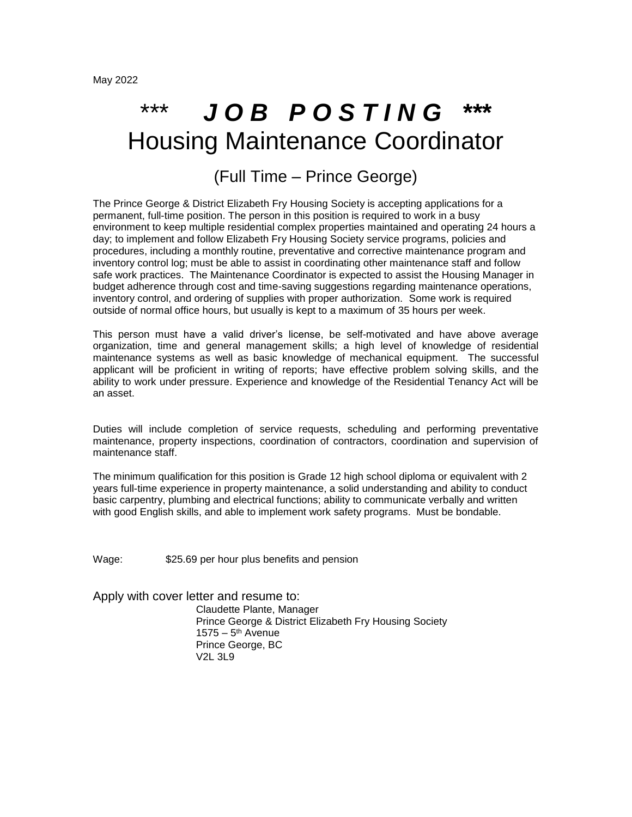## \*\*\* *J O B P O S T I N G \*\*\** Housing Maintenance Coordinator

## (Full Time – Prince George)

The Prince George & District Elizabeth Fry Housing Society is accepting applications for a permanent, full-time position. The person in this position is required to work in a busy environment to keep multiple residential complex properties maintained and operating 24 hours a day; to implement and follow Elizabeth Fry Housing Society service programs, policies and procedures, including a monthly routine, preventative and corrective maintenance program and inventory control log; must be able to assist in coordinating other maintenance staff and follow safe work practices. The Maintenance Coordinator is expected to assist the Housing Manager in budget adherence through cost and time-saving suggestions regarding maintenance operations, inventory control, and ordering of supplies with proper authorization. Some work is required outside of normal office hours, but usually is kept to a maximum of 35 hours per week.

This person must have a valid driver's license, be self-motivated and have above average organization, time and general management skills; a high level of knowledge of residential maintenance systems as well as basic knowledge of mechanical equipment. The successful applicant will be proficient in writing of reports; have effective problem solving skills, and the ability to work under pressure. Experience and knowledge of the Residential Tenancy Act will be an asset.

Duties will include completion of service requests, scheduling and performing preventative maintenance, property inspections, coordination of contractors, coordination and supervision of maintenance staff.

The minimum qualification for this position is Grade 12 high school diploma or equivalent with 2 years full-time experience in property maintenance, a solid understanding and ability to conduct basic carpentry, plumbing and electrical functions; ability to communicate verbally and written with good English skills, and able to implement work safety programs. Must be bondable.

Wage: \$25.69 per hour plus benefits and pension

Apply with cover letter and resume to:

 Claudette Plante, Manager Prince George & District Elizabeth Fry Housing Society 1575 – 5<sup>th</sup> Avenue Prince George, BC V2L 3L9